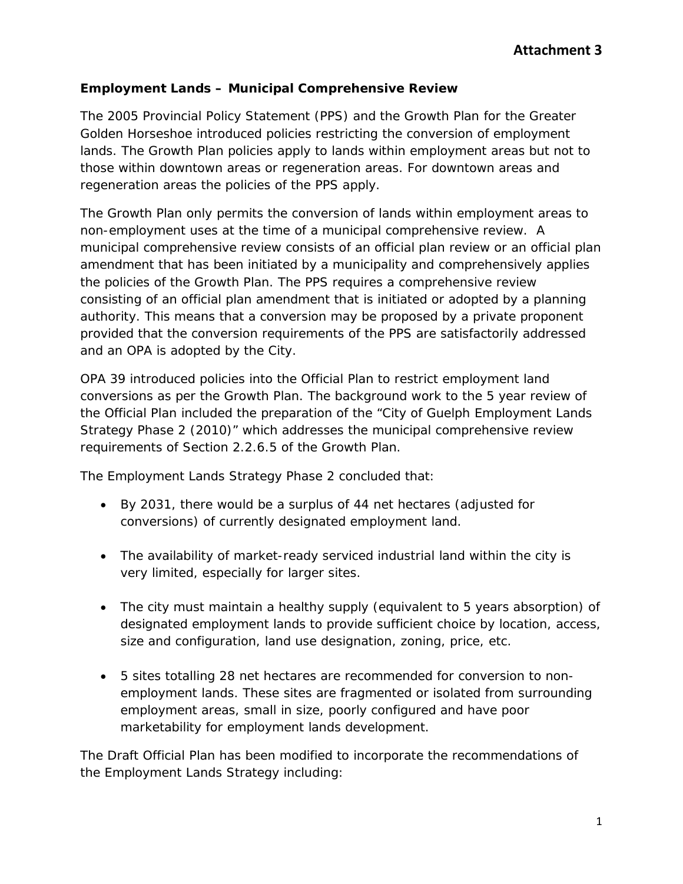## **Employment Lands – Municipal Comprehensive Review**

The 2005 Provincial Policy Statement (PPS) and the Growth Plan for the Greater Golden Horseshoe introduced policies restricting the conversion of employment lands. The Growth Plan policies apply to lands within employment areas but not to those within downtown areas or regeneration areas. For downtown areas and regeneration areas the policies of the PPS apply.

The Growth Plan only permits the conversion of lands within employment areas to non-employment uses at the time of a municipal comprehensive review. A municipal comprehensive review consists of an official plan review or an official plan amendment that has been initiated by a municipality and comprehensively applies the policies of the Growth Plan. The PPS requires a comprehensive review consisting of an official plan amendment that is initiated or adopted by a planning authority. This means that a conversion may be proposed by a private proponent provided that the conversion requirements of the PPS are satisfactorily addressed and an OPA is adopted by the City.

OPA 39 introduced policies into the Official Plan to restrict employment land conversions as per the Growth Plan. The background work to the 5 year review of the Official Plan included the preparation of the "City of Guelph Employment Lands Strategy Phase 2 (2010)" which addresses the municipal comprehensive review requirements of Section 2.2.6.5 of the Growth Plan.

The Employment Lands Strategy Phase 2 concluded that:

- By 2031, there would be a surplus of 44 net hectares (adjusted for conversions) of currently designated employment land.
- The availability of market-ready serviced industrial land within the city is very limited, especially for larger sites.
- The city must maintain a healthy supply (equivalent to 5 years absorption) of designated employment lands to provide sufficient choice by location, access, size and configuration, land use designation, zoning, price, etc.
- 5 sites totalling 28 net hectares are recommended for conversion to nonemployment lands. These sites are fragmented or isolated from surrounding employment areas, small in size, poorly configured and have poor marketability for employment lands development.

The Draft Official Plan has been modified to incorporate the recommendations of the Employment Lands Strategy including: